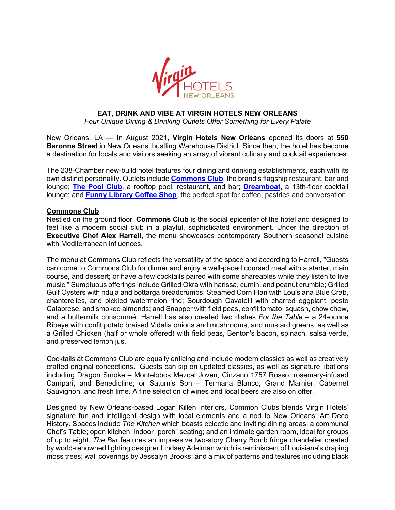

# **EAT, DRINK AND VIBE AT VIRGIN HOTELS NEW ORLEANS**

*Four Unique Dining & Drinking Outlets Offer Something for Every Palate*

New Orleans, LA — In August 2021, **Virgin Hotels New Orleans** opened its doors at **550 Baronne Street** in New Orleans' bustling Warehouse District. Since then, the hotel has become a destination for locals and visitors seeking an array of vibrant culinary and cocktail experiences.

The 238-Chamber new-build hotel features four dining and drinking establishments, each with its own distinct personality. Outlets include **Commons Club**, the brand's flagship restaurant, bar and lounge; **The Pool Club**, a rooftop pool, restaurant, and bar; **Dreamboat**, a 13th-floor cocktail lounge; and **Funny Library Coffee Shop**, the perfect spot for coffee, pastries and conversation.

## **Commons Club**

Nestled on the ground floor, **Commons Club** is the social epicenter of the hotel and designed to feel like a modern social club in a playful, sophisticated environment. Under the direction of **Executive Chef Alex Harrell**, the menu showcases contemporary Southern seasonal cuisine with Mediterranean influences.

The menu at Commons Club reflects the versatility of the space and according to Harrell, "Guests can come to Commons Club for dinner and enjoy a well-paced coursed meal with a starter, main course, and dessert; or have a few cocktails paired with some shareables while they listen to live music." Sumptuous offerings include Grilled Okra with harissa, cumin, and peanut crumble; Grilled Gulf Oysters with nduja and bottarga breadcrumbs; Steamed Corn Flan with Louisiana Blue Crab, chanterelles, and pickled watermelon rind; Sourdough Cavatelli with charred eggplant, pesto Calabrese, and smoked almonds; and Snapper with field peas, confit tomato, squash, chow chow, and a buttermilk consommé. Harrell has also created two dishes *For the Table* – a 24-ounce Ribeye with confit potato braised Vidalia onions and mushrooms, and mustard greens, as well as a Grilled Chicken (half or whole offered) with field peas, Benton's bacon, spinach, salsa verde, and preserved lemon jus.

Cocktails at Commons Club are equally enticing and include modern classics as well as creatively crafted original concoctions. Guests can sip on updated classics, as well as signature libations including Dragon Smoke – Montelobos Mezcal Joven, Cinzano 1757 Rosso, rosemary-infused Campari, and Benedictine; or Saturn's Son – Termana Blanco, Grand Marnier, Cabernet Sauvignon, and fresh lime. A fine selection of wines and local beers are also on offer.

Designed by New Orleans-based Logan Killen Interiors, Common Clubs blends Virgin Hotels' signature fun and intelligent design with local elements and a nod to New Orleans' Art Deco History. Spaces include *The Kitchen* which boasts eclectic and inviting dining areas; a communal Chef's Table; open kitchen; indoor "porch" seating; and an intimate garden room, ideal for groups of up to eight. *The Bar* features an impressive two-story Cherry Bomb fringe chandelier created by world-renowned lighting designer Lindsey Adelman which is reminiscent of Louisiana's draping moss trees; wall coverings by Jessalyn Brooks; and a mix of patterns and textures including black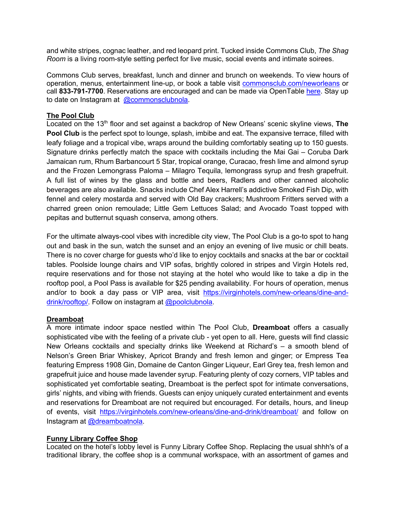and white stripes, cognac leather, and red leopard print. Tucked inside Commons Club, *The Shag Room* is a living room-style setting perfect for live music, social events and intimate soirees.

Commons Club serves, breakfast, lunch and dinner and brunch on weekends. To view hours of operation, menus, entertainment line-up, or book a table visit commonsclub.com/neworleans or call **833-791-7700**. Reservations are encouraged and can be made via OpenTable here. Stay up to date on Instagram at @commonsclubnola.

## **The Pool Club**

Located on the 13<sup>th</sup> floor and set against a backdrop of New Orleans' scenic skyline views, **The Pool Club** is the perfect spot to lounge, splash, imbibe and eat. The expansive terrace, filled with leafy foliage and a tropical vibe, wraps around the building comfortably seating up to 150 guests. Signature drinks perfectly match the space with cocktails including the Mai Gai – Coruba Dark Jamaican rum, Rhum Barbancourt 5 Star, tropical orange, Curacao, fresh lime and almond syrup and the Frozen Lemongrass Paloma – Milagro Tequila, lemongrass syrup and fresh grapefruit. A full list of wines by the glass and bottle and beers, Radlers and other canned alcoholic beverages are also available. Snacks include Chef Alex Harrell's addictive Smoked Fish Dip, with fennel and celery mostarda and served with Old Bay crackers; Mushroom Fritters served with a charred green onion remoulade; Little Gem Lettuces Salad; and Avocado Toast topped with pepitas and butternut squash conserva, among others.

For the ultimate always-cool vibes with incredible city view, The Pool Club is a go-to spot to hang out and bask in the sun, watch the sunset and an enjoy an evening of live music or chill beats. There is no cover charge for guests who'd like to enjoy cocktails and snacks at the bar or cocktail tables. Poolside lounge chairs and VIP sofas, brightly colored in stripes and Virgin Hotels red, require reservations and for those not staying at the hotel who would like to take a dip in the rooftop pool, a Pool Pass is available for \$25 pending availability. For hours of operation, menus and/or to book a day pass or VIP area, visit https://virginhotels.com/new-orleans/dine-anddrink/rooftop/. Follow on instagram at @poolclubnola.

### **Dreamboat**

A more intimate indoor space nestled within The Pool Club, **Dreamboat** offers a casually sophisticated vibe with the feeling of a private club - yet open to all. Here, guests will find classic New Orleans cocktails and specialty drinks like Weekend at Richard's – a smooth blend of Nelson's Green Briar Whiskey, Apricot Brandy and fresh lemon and ginger; or Empress Tea featuring Empress 1908 Gin, Domaine de Canton Ginger Liqueur, Earl Grey tea, fresh lemon and grapefruit juice and house made lavender syrup. Featuring plenty of cozy corners, VIP tables and sophisticated yet comfortable seating, Dreamboat is the perfect spot for intimate conversations, girls' nights, and vibing with friends. Guests can enjoy uniquely curated entertainment and events and reservations for Dreamboat are not required but encouraged. For details, hours, and lineup of events, visit https://virginhotels.com/new-orleans/dine-and-drink/dreamboat/ and follow on Instagram at @dreamboatnola.

### **Funny Library Coffee Shop**

Located on the hotel's lobby level is Funny Library Coffee Shop. Replacing the usual shhh's of a traditional library, the coffee shop is a communal workspace, with an assortment of games and